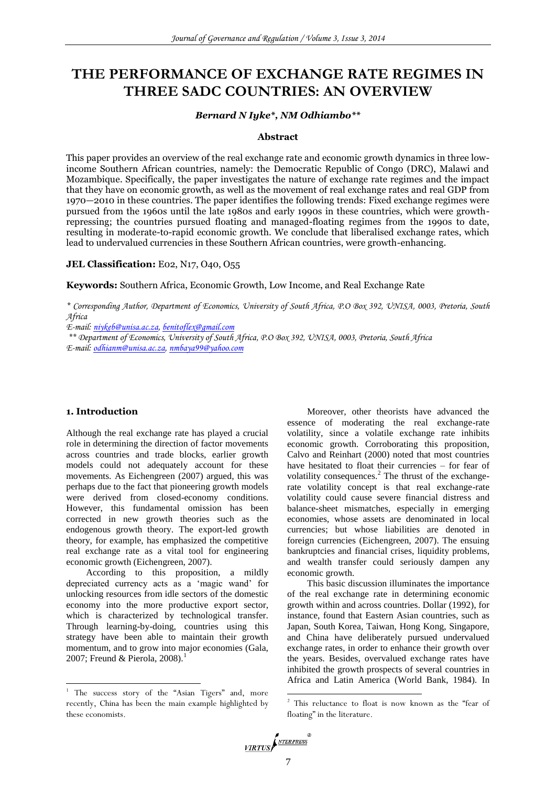# **THE PERFORMANCE OF EXCHANGE RATE REGIMES IN THREE SADC COUNTRIES: AN OVERVIEW**

#### *Bernard N Iyke\*, NM Odhiambo\*\**

#### **Abstract**

This paper provides an overview of the real exchange rate and economic growth dynamics in three lowincome Southern African countries, namely: the Democratic Republic of Congo (DRC), Malawi and Mozambique. Specifically, the paper investigates the nature of exchange rate regimes and the impact that they have on economic growth, as well as the movement of real exchange rates and real GDP from 1970—2010 in these countries. The paper identifies the following trends: Fixed exchange regimes were pursued from the 1960s until the late 1980s and early 1990s in these countries, which were growthrepressing; the countries pursued floating and managed-floating regimes from the 1990s to date, resulting in moderate-to-rapid economic growth. We conclude that liberalised exchange rates, which lead to undervalued currencies in these Southern African countries, were growth-enhancing.

### **JEL Classification:** E02, N17, O40, O55

**Keywords:** Southern Africa, Economic Growth, Low Income, and Real Exchange Rate

*\* Corresponding Author, Department of Economics, University of South Africa, P.O Box 392, UNISA, 0003, Pretoria, South Africa*

*E-mail: [niykeb@unisa.ac.za,](mailto:niykeb@unisa.ac.za) [benitoflex@gmail.com](mailto:benitoflex@gmail.com)*

*\*\* Department of Economics, University of South Africa, P.O Box 392, UNISA, 0003, Pretoria, South Africa E-mail: [odhianm@unisa.ac.za,](mailto:odhianm@unisa.ac.za) [nmbaya99@yahoo.com](mailto:nmbaya99@yahoo.com)*

### **1. Introduction**

 $\overline{a}$ 

Although the real exchange rate has played a crucial role in determining the direction of factor movements across countries and trade blocks, earlier growth models could not adequately account for these movements. As Eichengreen (2007) argued, this was perhaps due to the fact that pioneering growth models were derived from closed-economy conditions. However, this fundamental omission has been corrected in new growth theories such as the endogenous growth theory. The export-led growth theory, for example, has emphasized the competitive real exchange rate as a vital tool for engineering economic growth (Eichengreen, 2007).

According to this proposition, a mildly depreciated currency acts as a 'magic wand' for unlocking resources from idle sectors of the domestic economy into the more productive export sector, which is characterized by technological transfer. Through learning-by-doing, countries using this strategy have been able to maintain their growth momentum, and to grow into major economies (Gala, 2007; Freund & Pierola,  $2008$ .<sup>1</sup>

Moreover, other theorists have advanced the essence of moderating the real exchange-rate volatility, since a volatile exchange rate inhibits economic growth. Corroborating this proposition, Calvo and Reinhart (2000) noted that most countries have hesitated to float their currencies – for fear of volatility consequences.<sup>2</sup> The thrust of the exchangerate volatility concept is that real exchange-rate volatility could cause severe financial distress and balance-sheet mismatches, especially in emerging economies, whose assets are denominated in local currencies; but whose liabilities are denoted in foreign currencies (Eichengreen, 2007). The ensuing bankruptcies and financial crises, liquidity problems, and wealth transfer could seriously dampen any economic growth.

This basic discussion illuminates the importance of the real exchange rate in determining economic growth within and across countries. Dollar (1992), for instance, found that Eastern Asian countries, such as Japan, South Korea, Taiwan, Hong Kong, Singapore, and China have deliberately pursued undervalued exchange rates, in order to enhance their growth over the years. Besides, overvalued exchange rates have inhibited the growth prospects of several countries in Africa and Latin America (World Bank, 1984). In

<sup>2</sup> This reluctance to float is now known as the "fear of floating" in the literature.



-

<sup>&</sup>lt;sup>1</sup> The success story of the "Asian Tigers" and, more recently, China has been the main example highlighted by these economists.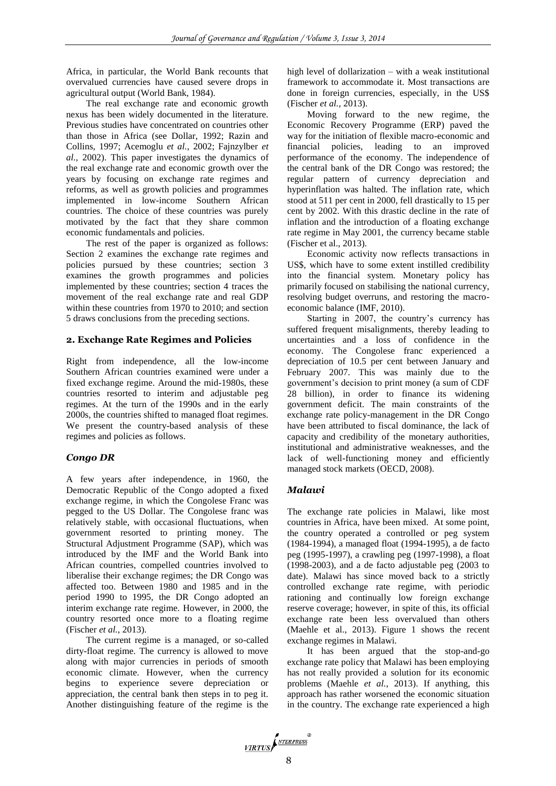Africa, in particular, the World Bank recounts that overvalued currencies have caused severe drops in agricultural output (World Bank, 1984).

The real exchange rate and economic growth nexus has been widely documented in the literature. Previous studies have concentrated on countries other than those in Africa (see Dollar, 1992; Razin and Collins, 1997; Acemoglu *et al.*, 2002; Fajnzylber *et al.,* 2002). This paper investigates the dynamics of the real exchange rate and economic growth over the years by focusing on exchange rate regimes and reforms, as well as growth policies and programmes implemented in low-income Southern African countries. The choice of these countries was purely motivated by the fact that they share common economic fundamentals and policies.

The rest of the paper is organized as follows: Section 2 examines the exchange rate regimes and policies pursued by these countries; section 3 examines the growth programmes and policies implemented by these countries; section 4 traces the movement of the real exchange rate and real GDP within these countries from 1970 to 2010; and section 5 draws conclusions from the preceding sections.

### **2. Exchange Rate Regimes and Policies**

Right from independence, all the low-income Southern African countries examined were under a fixed exchange regime. Around the mid-1980s, these countries resorted to interim and adjustable peg regimes. At the turn of the 1990s and in the early 2000s, the countries shifted to managed float regimes. We present the country-based analysis of these regimes and policies as follows.

## *Congo DR*

A few years after independence, in 1960, the Democratic Republic of the Congo adopted a fixed exchange regime, in which the Congolese Franc was pegged to the US Dollar. The Congolese franc was relatively stable, with occasional fluctuations, when government resorted to printing money. The Structural Adjustment Programme (SAP), which was introduced by the IMF and the World Bank into African countries, compelled countries involved to liberalise their exchange regimes; the DR Congo was affected too. Between 1980 and 1985 and in the period 1990 to 1995, the DR Congo adopted an interim exchange rate regime. However, in 2000, the country resorted once more to a floating regime (Fischer *et al.*, 2013).

The current regime is a managed, or so-called dirty-float regime. The currency is allowed to move along with major currencies in periods of smooth economic climate. However, when the currency begins to experience severe depreciation or appreciation, the central bank then steps in to peg it. Another distinguishing feature of the regime is the

high level of dollarization – with a weak institutional framework to accommodate it. Most transactions are done in foreign currencies, especially, in the US\$ (Fischer *et al.*, 2013).

Moving forward to the new regime, the Economic Recovery Programme (ERP) paved the way for the initiation of flexible macro-economic and financial policies, leading to an improved performance of the economy. The independence of the central bank of the DR Congo was restored; the regular pattern of currency depreciation and hyperinflation was halted. The inflation rate, which stood at 511 per cent in 2000, fell drastically to 15 per cent by 2002. With this drastic decline in the rate of inflation and the introduction of a floating exchange rate regime in May 2001, the currency became stable (Fischer et al., 2013).

Economic activity now reflects transactions in US\$, which have to some extent instilled credibility into the financial system. Monetary policy has primarily focused on stabilising the national currency, resolving budget overruns, and restoring the macroeconomic balance (IMF, 2010).

Starting in 2007, the country's currency has suffered frequent misalignments, thereby leading to uncertainties and a loss of confidence in the economy. The Congolese franc experienced a depreciation of 10.5 per cent between January and February 2007. This was mainly due to the government's decision to print money (a sum of CDF 28 billion), in order to finance its widening government deficit. The main constraints of the exchange rate policy-management in the DR Congo have been attributed to fiscal dominance, the lack of capacity and credibility of the monetary authorities, institutional and administrative weaknesses, and the lack of well-functioning money and efficiently managed stock markets (OECD, 2008).

## *Malawi*

The exchange rate policies in Malawi, like most countries in Africa, have been mixed. At some point, the country operated a controlled or peg system (1984-1994), a managed float (1994-1995), a de facto peg (1995-1997), a crawling peg (1997-1998), a float (1998-2003), and a de facto adjustable peg (2003 to date). Malawi has since moved back to a strictly controlled exchange rate regime, with periodic rationing and continually low foreign exchange reserve coverage; however, in spite of this, its official exchange rate been less overvalued than others (Maehle et al., 2013). Figure 1 shows the recent exchange regimes in Malawi.

It has been argued that the stop-and-go exchange rate policy that Malawi has been employing has not really provided a solution for its economic problems (Maehle *et al.*, 2013). If anything, this approach has rather worsened the economic situation in the country. The exchange rate experienced a high

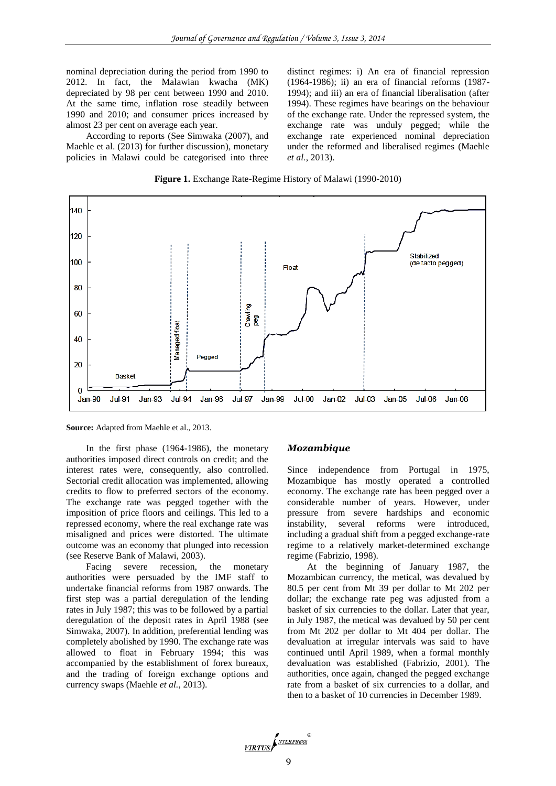nominal depreciation during the period from 1990 to 2012. In fact, the Malawian kwacha (MK) depreciated by 98 per cent between 1990 and 2010. At the same time, inflation rose steadily between 1990 and 2010; and consumer prices increased by almost 23 per cent on average each year.

According to reports (See Simwaka (2007), and Maehle et al. (2013) for further discussion), monetary policies in Malawi could be categorised into three

distinct regimes: i) An era of financial repression (1964-1986); ii) an era of financial reforms (1987- 1994); and iii) an era of financial liberalisation (after 1994). These regimes have bearings on the behaviour of the exchange rate. Under the repressed system, the exchange rate was unduly pegged; while the exchange rate experienced nominal depreciation under the reformed and liberalised regimes (Maehle *et al.*, 2013).



**Figure 1.** Exchange Rate-Regime History of Malawi (1990-2010)

**Source:** Adapted from Maehle et al., 2013.

In the first phase (1964-1986), the monetary authorities imposed direct controls on credit; and the interest rates were, consequently, also controlled. Sectorial credit allocation was implemented, allowing credits to flow to preferred sectors of the economy. The exchange rate was pegged together with the imposition of price floors and ceilings. This led to a repressed economy, where the real exchange rate was misaligned and prices were distorted. The ultimate outcome was an economy that plunged into recession (see Reserve Bank of Malawi, 2003).

Facing severe recession, the monetary authorities were persuaded by the IMF staff to undertake financial reforms from 1987 onwards. The first step was a partial deregulation of the lending rates in July 1987; this was to be followed by a partial deregulation of the deposit rates in April 1988 (see Simwaka, 2007). In addition, preferential lending was completely abolished by 1990. The exchange rate was allowed to float in February 1994; this was accompanied by the establishment of forex bureaux, and the trading of foreign exchange options and currency swaps (Maehle *et al.*, 2013).

#### *Mozambique*

Since independence from Portugal in 1975, Mozambique has mostly operated a controlled economy. The exchange rate has been pegged over a considerable number of years. However, under pressure from severe hardships and economic instability, several reforms were introduced, including a gradual shift from a pegged exchange-rate regime to a relatively market-determined exchange regime (Fabrizio, 1998).

At the beginning of January 1987, the Mozambican currency, the metical, was devalued by 80.5 per cent from Mt 39 per dollar to Mt 202 per dollar; the exchange rate peg was adjusted from a basket of six currencies to the dollar. Later that year, in July 1987, the metical was devalued by 50 per cent from Mt 202 per dollar to Mt 404 per dollar. The devaluation at irregular intervals was said to have continued until April 1989, when a formal monthly devaluation was established (Fabrizio, 2001). The authorities, once again, changed the pegged exchange rate from a basket of six currencies to a dollar, and then to a basket of 10 currencies in December 1989.

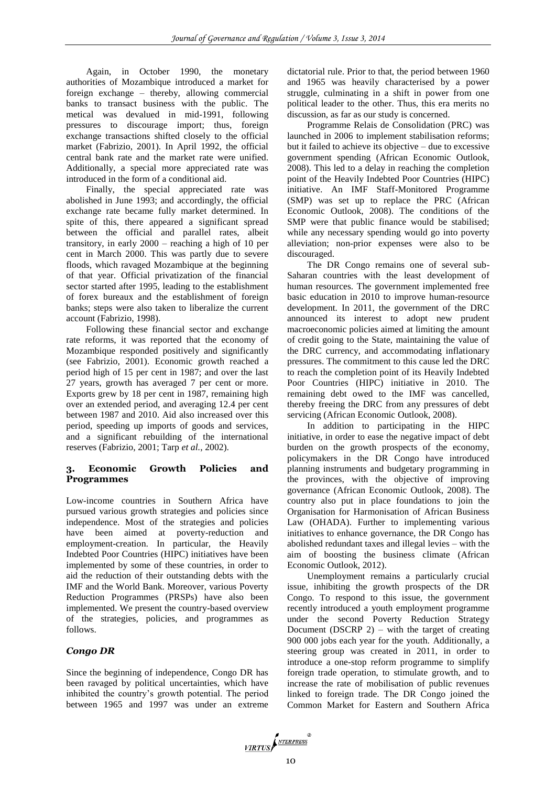Again, in October 1990, the monetary authorities of Mozambique introduced a market for foreign exchange – thereby, allowing commercial banks to transact business with the public. The metical was devalued in mid-1991, following pressures to discourage import; thus, foreign exchange transactions shifted closely to the official market (Fabrizio, 2001). In April 1992, the official central bank rate and the market rate were unified. Additionally, a special more appreciated rate was introduced in the form of a conditional aid.

Finally, the special appreciated rate was abolished in June 1993; and accordingly, the official exchange rate became fully market determined. In spite of this, there appeared a significant spread between the official and parallel rates, albeit transitory, in early 2000 – reaching a high of 10 per cent in March 2000. This was partly due to severe floods, which ravaged Mozambique at the beginning of that year. Official privatization of the financial sector started after 1995, leading to the establishment of forex bureaux and the establishment of foreign banks; steps were also taken to liberalize the current account (Fabrizio, 1998).

Following these financial sector and exchange rate reforms, it was reported that the economy of Mozambique responded positively and significantly (see Fabrizio, 2001). Economic growth reached a period high of 15 per cent in 1987; and over the last 27 years, growth has averaged 7 per cent or more. Exports grew by 18 per cent in 1987, remaining high over an extended period, and averaging 12.4 per cent between 1987 and 2010. Aid also increased over this period, speeding up imports of goods and services, and a significant rebuilding of the international reserves (Fabrizio, 2001; Tarp *et al.*, 2002).

### **3. Economic Growth Policies and Programmes**

Low-income countries in Southern Africa have pursued various growth strategies and policies since independence. Most of the strategies and policies have been aimed at poverty-reduction and employment-creation. In particular, the Heavily Indebted Poor Countries (HIPC) initiatives have been implemented by some of these countries, in order to aid the reduction of their outstanding debts with the IMF and the World Bank. Moreover, various Poverty Reduction Programmes (PRSPs) have also been implemented. We present the country-based overview of the strategies, policies, and programmes as follows.

## *Congo DR*

Since the beginning of independence, Congo DR has been ravaged by political uncertainties, which have inhibited the country's growth potential. The period between 1965 and 1997 was under an extreme dictatorial rule. Prior to that, the period between 1960 and 1965 was heavily characterised by a power struggle, culminating in a shift in power from one political leader to the other. Thus, this era merits no discussion, as far as our study is concerned.

Programme Relais de Consolidation (PRC) was launched in 2006 to implement stabilisation reforms; but it failed to achieve its objective – due to excessive government spending (African Economic Outlook, 2008). This led to a delay in reaching the completion point of the Heavily Indebted Poor Countries (HIPC) initiative. An IMF Staff-Monitored Programme (SMP) was set up to replace the PRC (African Economic Outlook, 2008). The conditions of the SMP were that public finance would be stabilised; while any necessary spending would go into poverty alleviation; non-prior expenses were also to be discouraged.

The DR Congo remains one of several sub-Saharan countries with the least development of human resources. The government implemented free basic education in 2010 to improve human-resource development. In 2011, the government of the DRC announced its interest to adopt new prudent macroeconomic policies aimed at limiting the amount of credit going to the State, maintaining the value of the DRC currency, and accommodating inflationary pressures. The commitment to this cause led the DRC to reach the completion point of its Heavily Indebted Poor Countries (HIPC) initiative in 2010. The remaining debt owed to the IMF was cancelled, thereby freeing the DRC from any pressures of debt servicing (African Economic Outlook, 2008).

In addition to participating in the HIPC initiative, in order to ease the negative impact of debt burden on the growth prospects of the economy, policymakers in the DR Congo have introduced planning instruments and budgetary programming in the provinces, with the objective of improving governance (African Economic Outlook, 2008). The country also put in place foundations to join the Organisation for Harmonisation of African Business Law (OHADA). Further to implementing various initiatives to enhance governance, the DR Congo has abolished redundant taxes and illegal levies – with the aim of boosting the business climate (African Economic Outlook, 2012).

Unemployment remains a particularly crucial issue, inhibiting the growth prospects of the DR Congo. To respond to this issue, the government recently introduced a youth employment programme under the second Poverty Reduction Strategy Document (DSCRP  $2$ ) – with the target of creating 900 000 jobs each year for the youth. Additionally, a steering group was created in 2011, in order to introduce a one-stop reform programme to simplify foreign trade operation, to stimulate growth, and to increase the rate of mobilisation of public revenues linked to foreign trade. The DR Congo joined the Common Market for Eastern and Southern Africa

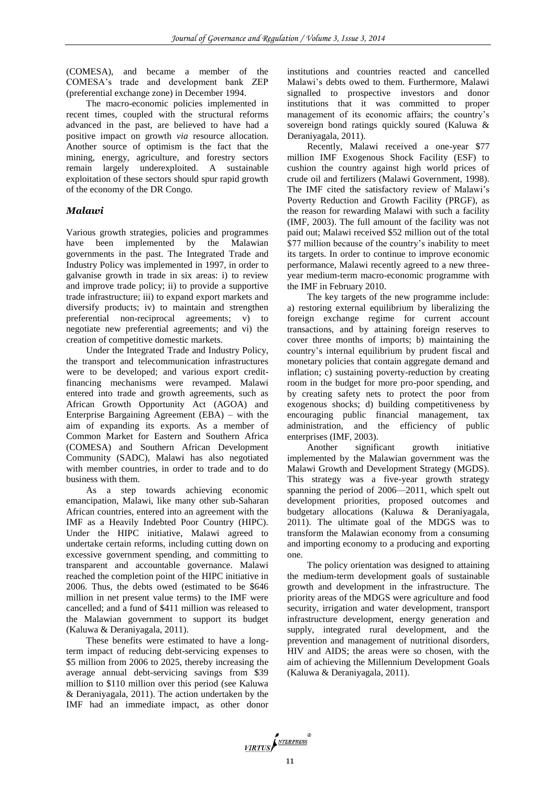(COMESA), and became a member of the COMESA's trade and development bank ZEP (preferential exchange zone) in December 1994.

The macro-economic policies implemented in recent times, coupled with the structural reforms advanced in the past, are believed to have had a positive impact on growth *via* resource allocation. Another source of optimism is the fact that the mining, energy, agriculture, and forestry sectors remain largely underexploited. A sustainable exploitation of these sectors should spur rapid growth of the economy of the DR Congo.

### *Malawi*

Various growth strategies, policies and programmes have been implemented by the Malawian governments in the past. The Integrated Trade and Industry Policy was implemented in 1997, in order to galvanise growth in trade in six areas: i) to review and improve trade policy; ii) to provide a supportive trade infrastructure; iii) to expand export markets and diversify products; iv) to maintain and strengthen preferential non-reciprocal agreements; v) to negotiate new preferential agreements; and vi) the creation of competitive domestic markets.

Under the Integrated Trade and Industry Policy, the transport and telecommunication infrastructures were to be developed; and various export creditfinancing mechanisms were revamped. Malawi entered into trade and growth agreements, such as African Growth Opportunity Act (AGOA) and Enterprise Bargaining Agreement (EBA) – with the aim of expanding its exports. As a member of Common Market for Eastern and Southern Africa (COMESA) and Southern African Development Community (SADC), Malawi has also negotiated with member countries, in order to trade and to do business with them.

As a step towards achieving economic emancipation, Malawi, like many other sub-Saharan African countries, entered into an agreement with the IMF as a Heavily Indebted Poor Country (HIPC). Under the HIPC initiative, Malawi agreed to undertake certain reforms, including cutting down on excessive government spending, and committing to transparent and accountable governance. Malawi reached the completion point of the HIPC initiative in 2006. Thus, the debts owed (estimated to be \$646 million in net present value terms) to the IMF were cancelled; and a fund of \$411 million was released to the Malawian government to support its budget (Kaluwa & Deraniyagala, 2011).

These benefits were estimated to have a longterm impact of reducing debt-servicing expenses to \$5 million from 2006 to 2025, thereby increasing the average annual debt-servicing savings from \$39 million to \$110 million over this period (see Kaluwa & Deraniyagala, 2011). The action undertaken by the IMF had an immediate impact, as other donor institutions and countries reacted and cancelled Malawi's debts owed to them. Furthermore, Malawi signalled to prospective investors and donor institutions that it was committed to proper management of its economic affairs; the country's sovereign bond ratings quickly soured (Kaluwa & Deraniyagala, 2011).

Recently, Malawi received a one-year \$77 million IMF Exogenous Shock Facility (ESF) to cushion the country against high world prices of crude oil and fertilizers (Malawi Government, 1998). The IMF cited the satisfactory review of Malawi's Poverty Reduction and Growth Facility (PRGF), as the reason for rewarding Malawi with such a facility (IMF, 2003). The full amount of the facility was not paid out; Malawi received \$52 million out of the total \$77 million because of the country's inability to meet its targets. In order to continue to improve economic performance, Malawi recently agreed to a new threeyear medium-term macro-economic programme with the IMF in February 2010.

The key targets of the new programme include: a) restoring external equilibrium by liberalizing the foreign exchange regime for current account transactions, and by attaining foreign reserves to cover three months of imports; b) maintaining the country's internal equilibrium by prudent fiscal and monetary policies that contain aggregate demand and inflation; c) sustaining poverty-reduction by creating room in the budget for more pro-poor spending, and by creating safety nets to protect the poor from exogenous shocks; d) building competitiveness by encouraging public financial management, tax administration, and the efficiency of public enterprises (IMF, 2003).

Another significant growth initiative implemented by the Malawian government was the Malawi Growth and Development Strategy (MGDS). This strategy was a five-year growth strategy spanning the period of 2006—2011, which spelt out development priorities, proposed outcomes and budgetary allocations (Kaluwa & Deraniyagala, 2011). The ultimate goal of the MDGS was to transform the Malawian economy from a consuming and importing economy to a producing and exporting one.

The policy orientation was designed to attaining the medium-term development goals of sustainable growth and development in the infrastructure. The priority areas of the MDGS were agriculture and food security, irrigation and water development, transport infrastructure development, energy generation and supply, integrated rural development, and the prevention and management of nutritional disorders, HIV and AIDS; the areas were so chosen, with the aim of achieving the Millennium Development Goals (Kaluwa & Deraniyagala, 2011).

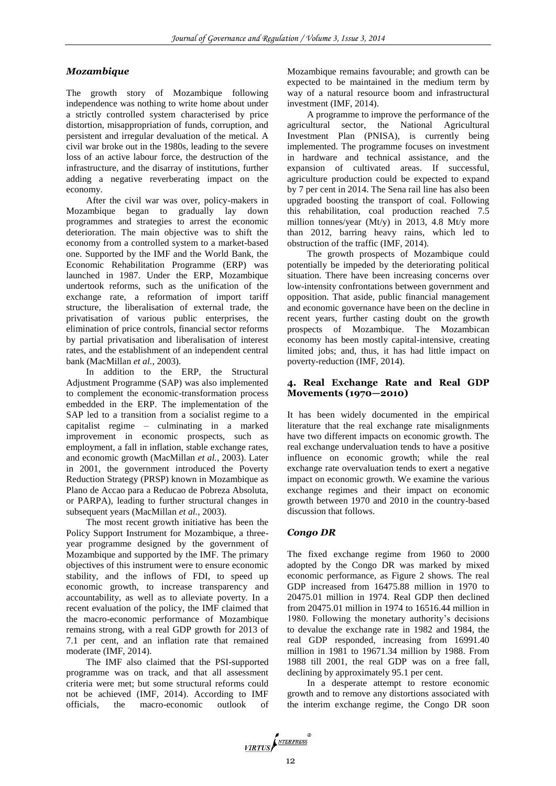### *Mozambique*

The growth story of Mozambique following independence was nothing to write home about under a strictly controlled system characterised by price distortion, misappropriation of funds, corruption, and persistent and irregular devaluation of the metical. A civil war broke out in the 1980s, leading to the severe loss of an active labour force, the destruction of the infrastructure, and the disarray of institutions, further adding a negative reverberating impact on the economy.

After the civil war was over, policy-makers in Mozambique began to gradually lay down programmes and strategies to arrest the economic deterioration. The main objective was to shift the economy from a controlled system to a market-based one. Supported by the IMF and the World Bank, the Economic Rehabilitation Programme (ERP) was launched in 1987. Under the ERP, Mozambique undertook reforms, such as the unification of the exchange rate, a reformation of import tariff structure, the liberalisation of external trade, the privatisation of various public enterprises, the elimination of price controls, financial sector reforms by partial privatisation and liberalisation of interest rates, and the establishment of an independent central bank (MacMillan *et al.*, 2003).

In addition to the ERP, the Structural Adjustment Programme (SAP) was also implemented to complement the economic-transformation process embedded in the ERP. The implementation of the SAP led to a transition from a socialist regime to a capitalist regime – culminating in a marked improvement in economic prospects, such as employment, a fall in inflation, stable exchange rates, and economic growth (MacMillan *et al.*, 2003). Later in 2001, the government introduced the Poverty Reduction Strategy (PRSP) known in Mozambique as Plano de Accao para a Reducao de Pobreza Absoluta, or PARPA), leading to further structural changes in subsequent years (MacMillan *et al.*, 2003).

The most recent growth initiative has been the Policy Support Instrument for Mozambique, a threeyear programme designed by the government of Mozambique and supported by the IMF. The primary objectives of this instrument were to ensure economic stability, and the inflows of FDI, to speed up economic growth, to increase transparency and accountability, as well as to alleviate poverty. In a recent evaluation of the policy, the IMF claimed that the macro-economic performance of Mozambique remains strong, with a real GDP growth for 2013 of 7.1 per cent, and an inflation rate that remained moderate (IMF, 2014).

The IMF also claimed that the PSI-supported programme was on track, and that all assessment criteria were met; but some structural reforms could not be achieved (IMF, 2014). According to IMF officials, the macro-economic outlook of

Mozambique remains favourable; and growth can be expected to be maintained in the medium term by way of a natural resource boom and infrastructural investment (IMF, 2014).

A programme to improve the performance of the agricultural sector, the National Agricultural Investment Plan (PNISA), is currently being implemented. The programme focuses on investment in hardware and technical assistance, and the expansion of cultivated areas. If successful, agriculture production could be expected to expand by 7 per cent in 2014. The Sena rail line has also been upgraded boosting the transport of coal. Following this rehabilitation, coal production reached 7.5 million tonnes/year (Mt/y) in 2013, 4.8 Mt/y more than 2012, barring heavy rains, which led to obstruction of the traffic (IMF, 2014).

The growth prospects of Mozambique could potentially be impeded by the deteriorating political situation. There have been increasing concerns over low-intensity confrontations between government and opposition. That aside, public financial management and economic governance have been on the decline in recent years, further casting doubt on the growth prospects of Mozambique. The Mozambican economy has been mostly capital-intensive, creating limited jobs; and, thus, it has had little impact on poverty-reduction (IMF, 2014).

### **4. Real Exchange Rate and Real GDP Movements (1970—2010)**

It has been widely documented in the empirical literature that the real exchange rate misalignments have two different impacts on economic growth. The real exchange undervaluation tends to have a positive influence on economic growth; while the real exchange rate overvaluation tends to exert a negative impact on economic growth. We examine the various exchange regimes and their impact on economic growth between 1970 and 2010 in the country-based discussion that follows.

### *Congo DR*

The fixed exchange regime from 1960 to 2000 adopted by the Congo DR was marked by mixed economic performance, as Figure 2 shows. The real GDP increased from 16475.88 million in 1970 to 20475.01 million in 1974. Real GDP then declined from 20475.01 million in 1974 to 16516.44 million in 1980. Following the monetary authority's decisions to devalue the exchange rate in 1982 and 1984, the real GDP responded, increasing from 16991.40 million in 1981 to 19671.34 million by 1988. From 1988 till 2001, the real GDP was on a free fall, declining by approximately 95.1 per cent.

In a desperate attempt to restore economic growth and to remove any distortions associated with the interim exchange regime, the Congo DR soon

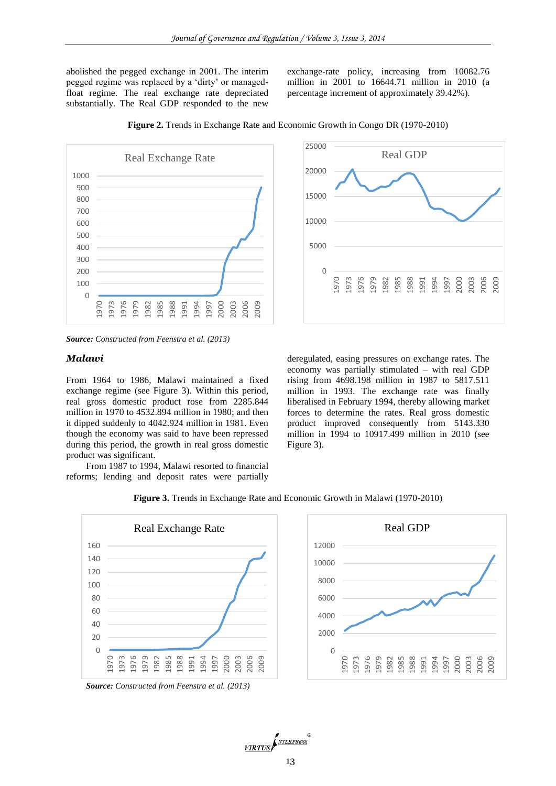abolished the pegged exchange in 2001. The interim pegged regime was replaced by a 'dirty' or managedfloat regime. The real exchange rate depreciated substantially. The Real GDP responded to the new

exchange-rate policy, increasing from 10082.76 million in 2001 to 16644.71 million in 2010 (a percentage increment of approximately 39.42%).



**Figure 2.** Trends in Exchange Rate and Economic Growth in Congo DR (1970-2010)

### *Malawi*

From 1964 to 1986, Malawi maintained a fixed exchange regime (see Figure 3). Within this period, real gross domestic product rose from 2285.844 million in 1970 to 4532.894 million in 1980; and then it dipped suddenly to 4042.924 million in 1981. Even though the economy was said to have been repressed during this period, the growth in real gross domestic product was significant.

From 1987 to 1994, Malawi resorted to financial reforms; lending and deposit rates were partially



deregulated, easing pressures on exchange rates. The economy was partially stimulated – with real GDP rising from 4698.198 million in 1987 to 5817.511 million in 1993. The exchange rate was finally liberalised in February 1994, thereby allowing market forces to determine the rates. Real gross domestic product improved consequently from 5143.330 million in 1994 to 10917.499 million in 2010 (see Figure 3).



**Figure 3.** Trends in Exchange Rate and Economic Growth in Malawi (1970-2010)





*Source: Constructed from Feenstra et al. (2013)*

*Source: Constructed from Feenstra et al. (2013)*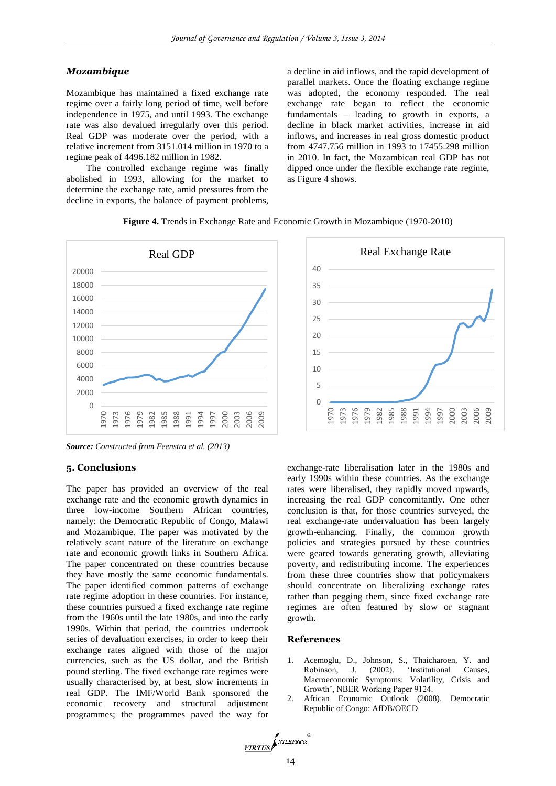#### *Mozambique*

Mozambique has maintained a fixed exchange rate regime over a fairly long period of time, well before independence in 1975, and until 1993. The exchange rate was also devalued irregularly over this period. Real GDP was moderate over the period, with a relative increment from 3151.014 million in 1970 to a regime peak of 4496.182 million in 1982.

The controlled exchange regime was finally abolished in 1993, allowing for the market to determine the exchange rate, amid pressures from the decline in exports, the balance of payment problems, a decline in aid inflows, and the rapid development of parallel markets. Once the floating exchange regime was adopted, the economy responded. The real exchange rate began to reflect the economic fundamentals – leading to growth in exports, a decline in black market activities, increase in aid inflows, and increases in real gross domestic product from 4747.756 million in 1993 to 17455.298 million in 2010. In fact, the Mozambican real GDP has not dipped once under the flexible exchange rate regime, as Figure 4 shows.





*Source: Constructed from Feenstra et al. (2013)*

#### **5. Conclusions**

The paper has provided an overview of the real exchange rate and the economic growth dynamics in three low-income Southern African countries, namely: the Democratic Republic of Congo, Malawi and Mozambique. The paper was motivated by the relatively scant nature of the literature on exchange rate and economic growth links in Southern Africa. The paper concentrated on these countries because they have mostly the same economic fundamentals. The paper identified common patterns of exchange rate regime adoption in these countries. For instance, these countries pursued a fixed exchange rate regime from the 1960s until the late 1980s, and into the early 1990s. Within that period, the countries undertook series of devaluation exercises, in order to keep their exchange rates aligned with those of the major currencies, such as the US dollar, and the British pound sterling. The fixed exchange rate regimes were usually characterised by, at best, slow increments in real GDP. The IMF/World Bank sponsored the economic recovery and structural adjustment programmes; the programmes paved the way for



exchange-rate liberalisation later in the 1980s and early 1990s within these countries. As the exchange rates were liberalised, they rapidly moved upwards, increasing the real GDP concomitantly. One other conclusion is that, for those countries surveyed, the real exchange-rate undervaluation has been largely growth-enhancing. Finally, the common growth policies and strategies pursued by these countries were geared towards generating growth, alleviating poverty, and redistributing income. The experiences from these three countries show that policymakers should concentrate on liberalizing exchange rates rather than pegging them, since fixed exchange rate regimes are often featured by slow or stagnant growth.

### **References**

- Acemoglu, D., Johnson, S., Thaicharoen, Y. and Robinson, J. (2002). 'Institutional Causes, Macroeconomic Symptoms: Volatility, Crisis and Growth', NBER Working Paper 9124.
- 2. African Economic Outlook (2008). Democratic Republic of Congo: AfDB/OECD